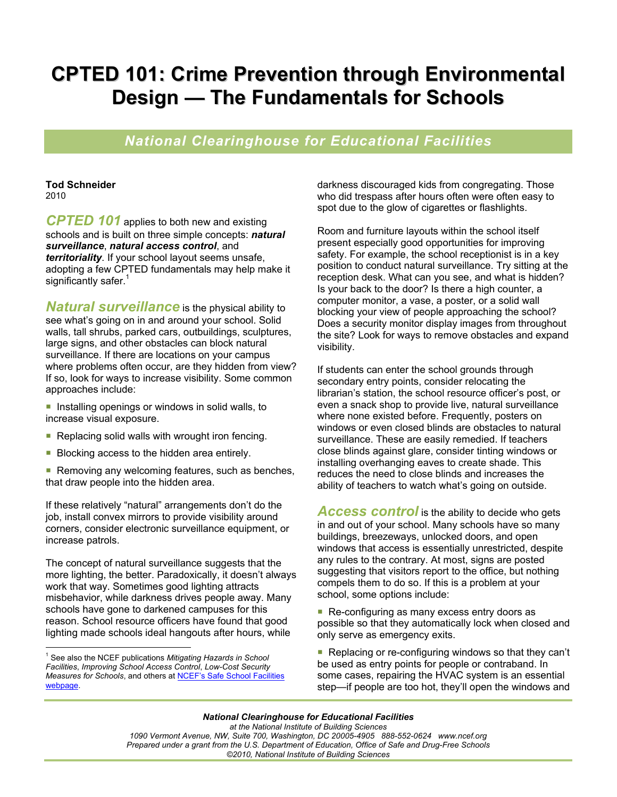# **CPTED 101: Crime Prevention through Environmental Design — The Fundamentals for Schools**

## *National Clearinghouse for Educational Facilities*

#### **Tod Schneider**  2010

*CPTED 101* applies to both new and existing schools and is built on three simple concepts: *natural surveillance*, *natural access control*, and *territoriality*. If your school layout seems unsafe, adopting a few CPTED fundamentals may help make it significantly safer.<sup>1</sup>

*Natural surveillance* is the physical ability to see what's going on in and around your school. Solid walls, tall shrubs, parked cars, outbuildings, sculptures, large signs, and other obstacles can block natural surveillance. If there are locations on your campus where problems often occur, are they hidden from view? If so, look for ways to increase visibility. Some common approaches include:

- Installing openings or windows in solid walls, to increase visual exposure.
- Replacing solid walls with wrought iron fencing.
- Blocking access to the hidden area entirely.
- Removing any welcoming features, such as benches, that draw people into the hidden area.

If these relatively "natural" arrangements don't do the job, install convex mirrors to provide visibility around corners, consider electronic surveillance equipment, or increase patrols.

The concept of natural surveillance suggests that the more lighting, the better. Paradoxically, it doesn't always work that way. Sometimes good lighting attracts misbehavior, while darkness drives people away. Many schools have gone to darkened campuses for this reason. School resource officers have found that good lighting made schools ideal hangouts after hours, while

darkness discouraged kids from congregating. Those who did trespass after hours often were often easy to spot due to the glow of cigarettes or flashlights.

Room and furniture layouts within the school itself present especially good opportunities for improving safety. For example, the school receptionist is in a key position to conduct natural surveillance. Try sitting at the reception desk. What can you see, and what is hidden? Is your back to the door? Is there a high counter, a computer monitor, a vase, a poster, or a solid wall blocking your view of people approaching the school? Does a security monitor display images from throughout the site? Look for ways to remove obstacles and expand visibility.

If students can enter the school grounds through secondary entry points, consider relocating the librarian's station, the school resource officer's post, or even a snack shop to provide live, natural surveillance where none existed before. Frequently, posters on windows or even closed blinds are obstacles to natural surveillance. These are easily remedied. If teachers close blinds against glare, consider tinting windows or installing overhanging eaves to create shade. This reduces the need to close blinds and increases the ability of teachers to watch what's going on outside.

**Access control** is the ability to decide who gets in and out of your school. Many schools have so many buildings, breezeways, unlocked doors, and open windows that access is essentially unrestricted, despite any rules to the contrary. At most, signs are posted suggesting that visitors report to the office, but nothing compels them to do so. If this is a problem at your school, some options include:

■ Re-configuring as many excess entry doors as possible so that they automatically lock when closed and only serve as emergency exits.

■ Replacing or re-configuring windows so that they can't be used as entry points for people or contraband. In some cases, repairing the HVAC system is an essential step—if people are too hot, they'll open the windows and

 1 See also the NCEF publications *Mitigating Hazards in School Facilities*, *Improving School Access Control*, *Low-Cost Security Measures for Schools*, and others at NCEF's Safe School Facilities webpage.